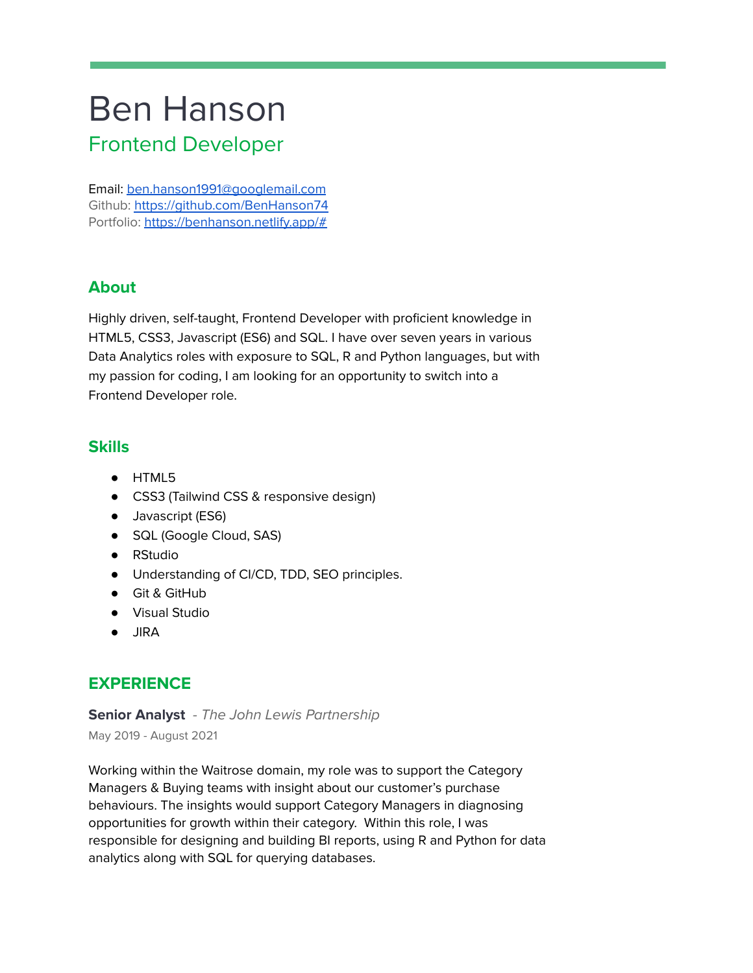# Ben Hanson Frontend Developer

Email: [ben.hanson1991@googlemail.com](mailto:ben.hanson1991@googlemail.com) Github: [https://github.com/BenHanson74](https://github.com/BenHanson747) Portfolio: <https://benhanson.netlify.app/#>

## **About**

Highly driven, self-taught, Frontend Developer with proficient knowledge in HTML5, CSS3, Javascript (ES6) and SQL. I have over seven years in various Data Analytics roles with exposure to SQL, R and Python languages, but with my passion for coding, I am looking for an opportunity to switch into a Frontend Developer role.

#### **Skills**

- HTML5
- CSS3 (Tailwind CSS & responsive design)
- Javascript (ES6)
- SQL (Google Cloud, SAS)
- RStudio
- Understanding of CI/CD, TDD, SEO principles.
- Git & GitHub
- Visual Studio
- JIRA

# **EXPERIENCE**

**Senior Analyst** - The John Lewis Partnership May 2019 - August 2021

Working within the Waitrose domain, my role was to support the Category Managers & Buying teams with insight about our customer's purchase behaviours. The insights would support Category Managers in diagnosing opportunities for growth within their category. Within this role, I was responsible for designing and building BI reports, using R and Python for data analytics along with SQL for querying databases.